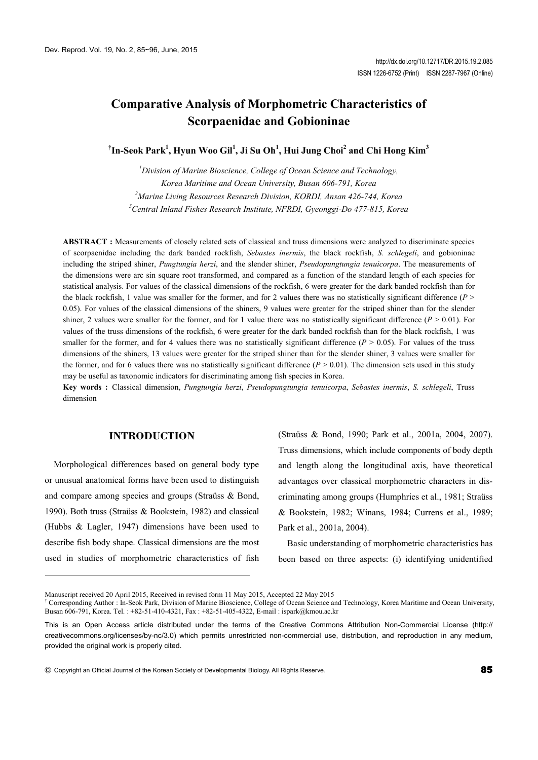# **Comparative Analysis of Morphometric Characteristics of Scorpaenidae and Gobioninae**

 $^{\dagger}$ In-Seok Park $^1$ , Hyun Woo Gil $^1$ , Ji Su Oh $^1$ , Hui Jung Choi $^2$  and Chi Hong Kim $^3$ 

*Division of Marine Bioscience, College of Ocean Science and Technology, Korea Maritime and Ocean University, Busan 606-791, Korea Marine Living Resources Research Division, KORDI, Ansan 426-744, Korea Central Inland Fishes Research Institute, NFRDI, Gyeonggi-Do 477-815, Korea* 

**ABSTRACT :** Measurements of closely related sets of classical and truss dimensions were analyzed to discriminate species of scorpaenidae including the dark banded rockfish, *Sebastes inermis*, the black rockfish, *S. schlegeli*, and gobioninae including the striped shiner, *Pungtungia herzi*, and the slender shiner, *Pseudopungtungia tenuicorpa*. The measurements of the dimensions were arc sin square root transformed, and compared as a function of the standard length of each species for statistical analysis. For values of the classical dimensions of the rockfish, 6 were greater for the dark banded rockfish than for the black rockfish, 1 value was smaller for the former, and for 2 values there was no statistically significant difference (*P* > 0.05). For values of the classical dimensions of the shiners, 9 values were greater for the striped shiner than for the slender shiner, 2 values were smaller for the former, and for 1 value there was no statistically significant difference  $(P > 0.01)$ . For values of the truss dimensions of the rockfish, 6 were greater for the dark banded rockfish than for the black rockfish, 1 was smaller for the former, and for 4 values there was no statistically significant difference  $(P > 0.05)$ . For values of the truss dimensions of the shiners, 13 values were greater for the striped shiner than for the slender shiner, 3 values were smaller for the former, and for 6 values there was no statistically significant difference  $(P > 0.01)$ . The dimension sets used in this study may be useful as taxonomic indicators for discriminating among fish species in Korea.

**Key words :** Classical dimension, *Pungtungia herzi*, *Pseudopungtungia tenuicorpa*, *Sebastes inermis*, *S. schlegeli*, Truss dimension

#### INTRODUCTION

Morphological differences based on general body type or unusual anatomical forms have been used to distinguish and compare among species and groups (Straüss & Bond, 1990). Both truss (Straüss & Bookstein, 1982) and classical (Hubbs & Lagler, 1947) dimensions have been used to describe fish body shape. Classical dimensions are the most used in studies of morphometric characteristics of fish (Straüss & Bond, 1990; Park et al., 2001a, 2004, 2007). Truss dimensions, which include components of body depth and length along the longitudinal axis, have theoretical advantages over classical morphometric characters in discriminating among groups (Humphries et al., 1981; Straüss & Bookstein, 1982; Winans, 1984; Currens et al., 1989; Park et al., 2001a, 2004).

Basic understanding of morphometric characteristics has been based on three aspects: (i) identifying unidentified

 $\circledcirc$  Copyright an Official Journal of the Korean Society of Developmental Biology. All Rights Reserve.

Manuscript received 20 April 2015, Received in revised form 11 May 2015, Accepted 22 May 2015

<sup>†</sup> Corresponding Author : In-Seok Park, Division of Marine Bioscience, College of Ocean Science and Technology, Korea Maritime and Ocean University, Busan 606-791, Korea. Tel. : +82-51-410-4321, Fax : +82-51-405-4322, E-mail : ispark@kmou.ac.kr

This is an Open Access article distributed under the terms of the Creative Commons Attribution Non-Commercial License (http:// creativecommons.org/licenses/by-nc/3.0) which permits unrestricted non-commercial use, distribution, and reproduction in any medium, provided the original work is properly cited.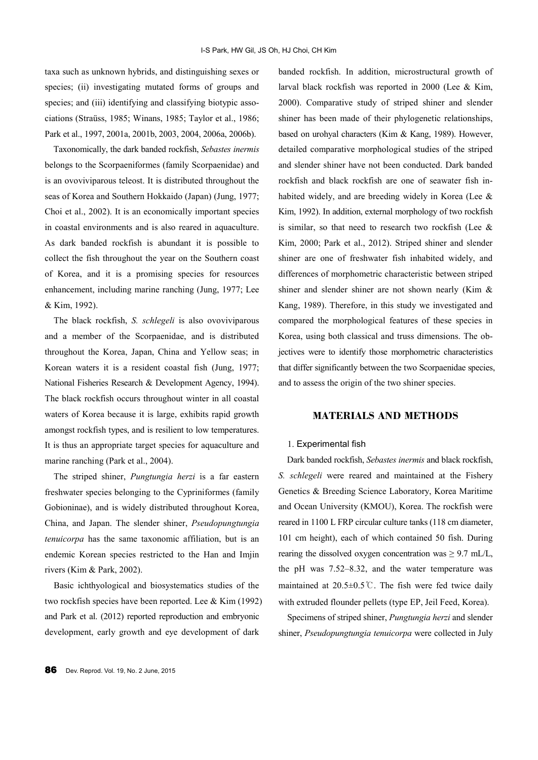taxa such as unknown hybrids, and distinguishing sexes or species; (ii) investigating mutated forms of groups and species; and (iii) identifying and classifying biotypic associations (Straüss, 1985; Winans, 1985; Taylor et al., 1986; Park et al., 1997, 2001a, 2001b, 2003, 2004, 2006a, 2006b).

Taxonomically, the dark banded rockfish, *Sebastes inermis* belongs to the Scorpaeniformes (family Scorpaenidae) and is an ovoviviparous teleost. It is distributed throughout the seas of Korea and Southern Hokkaido (Japan) (Jung, 1977; Choi et al., 2002). It is an economically important species in coastal environments and is also reared in aquaculture. As dark banded rockfish is abundant it is possible to collect the fish throughout the year on the Southern coast of Korea, and it is a promising species for resources enhancement, including marine ranching (Jung, 1977; Lee & Kim, 1992).

The black rockfish, *S. schlegeli* is also ovoviviparous and a member of the Scorpaenidae, and is distributed throughout the Korea, Japan, China and Yellow seas; in Korean waters it is a resident coastal fish (Jung, 1977; National Fisheries Research & Development Agency, 1994). The black rockfish occurs throughout winter in all coastal waters of Korea because it is large, exhibits rapid growth amongst rockfish types, and is resilient to low temperatures. It is thus an appropriate target species for aquaculture and marine ranching (Park et al., 2004).

The striped shiner, *Pungtungia herzi* is a far eastern freshwater species belonging to the Cypriniformes (family Gobioninae), and is widely distributed throughout Korea, China, and Japan. The slender shiner, *Pseudopungtungia tenuicorpa* has the same taxonomic affiliation, but is an endemic Korean species restricted to the Han and Imjin rivers (Kim & Park, 2002).

Basic ichthyological and biosystematics studies of the two rockfish species have been reported. Lee & Kim (1992) and Park et al. (2012) reported reproduction and embryonic development, early growth and eye development of dark

banded rockfish. In addition, microstructural growth of larval black rockfish was reported in 2000 (Lee & Kim, 2000). Comparative study of striped shiner and slender shiner has been made of their phylogenetic relationships, based on urohyal characters (Kim & Kang, 1989). However, detailed comparative morphological studies of the striped and slender shiner have not been conducted. Dark banded rockfish and black rockfish are one of seawater fish inhabited widely, and are breeding widely in Korea (Lee & Kim, 1992). In addition, external morphology of two rockfish is similar, so that need to research two rockfish (Lee & Kim, 2000; Park et al., 2012). Striped shiner and slender shiner are one of freshwater fish inhabited widely, and differences of morphometric characteristic between striped shiner and slender shiner are not shown nearly (Kim & Kang, 1989). Therefore, in this study we investigated and compared the morphological features of these species in Korea, using both classical and truss dimensions. The objectives were to identify those morphometric characteristics that differ significantly between the two Scorpaenidae species, and to assess the origin of the two shiner species.

### MATERIALS AND METHODS

#### 1. Experimental fish

Dark banded rockfish, *Sebastes inermis* and black rockfish, *S. schlegeli* were reared and maintained at the Fishery Genetics & Breeding Science Laboratory, Korea Maritime and Ocean University (KMOU), Korea. The rockfish were reared in 1100 L FRP circular culture tanks (118 cm diameter, 101 cm height), each of which contained 50 fish. During rearing the dissolved oxygen concentration was  $\geq 9.7$  mL/L, the pH was 7.52–8.32, and the water temperature was maintained at 20.5±0.5℃. The fish were fed twice daily with extruded flounder pellets (type EP, Jeil Feed, Korea).

Specimens of striped shiner, *Pungtungia herzi* and slender shiner, *Pseudopungtungia tenuicorpa* were collected in July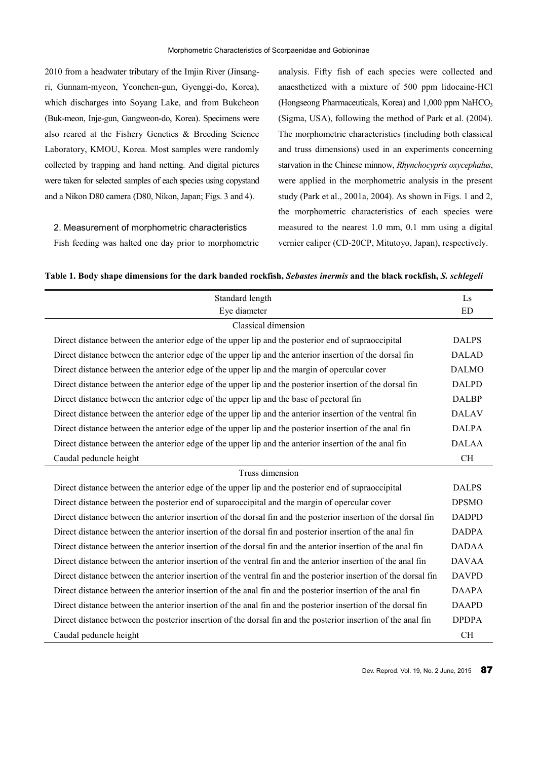2010 from a headwater tributary of the Imjin River (Jinsangri, Gunnam-myeon, Yeonchen-gun, Gyenggi-do, Korea), which discharges into Soyang Lake, and from Bukcheon (Buk-meon, Inje-gun, Gangweon-do, Korea). Specimens were also reared at the Fishery Genetics & Breeding Science Laboratory, KMOU, Korea. Most samples were randomly collected by trapping and hand netting. And digital pictures starvation in the Chinese minnow. *Rhynchocypris oxycephalus*. were taken for selected samples of each species using copystand and a Nikon D80 camera (D80, Nikon, Japan; Figs. 3 and 4).

### 2. Measurement of morphometric characteristics

Fish feeding was halted one day prior to morphometric

analysis. Fifty fish of each species were collected and anaesthetized with a mixture of 500 ppm lidocaine-HCl (Hongseong Pharmaceuticals, Korea) and 1,000 ppm NaHCO<sub>3</sub> (Sigma, USA), following the method of Park et al. (2004). The morphometric characteristics (including both classical and truss dimensions) used in an experiments concerning were applied in the morphometric analysis in the present study (Park et al., 2001a, 2004). As shown in Figs. 1 and 2, the morphometric characteristics of each species were measured to the nearest 1.0 mm, 0.1 mm using a digital vernier caliper (CD-20CP, Mitutoyo, Japan), respectively.

**Table 1. Body shape dimensions for the dark banded rockfish,** *Sebastes inermis* **and the black rockfish,** *S. schlegeli*

| Standard length                                                                                                 | Ls           |  |  |  |
|-----------------------------------------------------------------------------------------------------------------|--------------|--|--|--|
| Eye diameter                                                                                                    | ED           |  |  |  |
| Classical dimension                                                                                             |              |  |  |  |
| Direct distance between the anterior edge of the upper lip and the posterior end of supraoccipital              | <b>DALPS</b> |  |  |  |
| Direct distance between the anterior edge of the upper lip and the anterior insertion of the dorsal fin         | <b>DALAD</b> |  |  |  |
| Direct distance between the anterior edge of the upper lip and the margin of opercular cover                    | <b>DALMO</b> |  |  |  |
| Direct distance between the anterior edge of the upper lip and the posterior insertion of the dorsal fin        | <b>DALPD</b> |  |  |  |
| Direct distance between the anterior edge of the upper lip and the base of pectoral fin                         | <b>DALBP</b> |  |  |  |
| Direct distance between the anterior edge of the upper lip and the anterior insertion of the ventral fin        | <b>DALAV</b> |  |  |  |
| Direct distance between the anterior edge of the upper lip and the posterior insertion of the anal fin          | <b>DALPA</b> |  |  |  |
| Direct distance between the anterior edge of the upper lip and the anterior insertion of the anal fin           | <b>DALAA</b> |  |  |  |
| Caudal peduncle height                                                                                          | <b>CH</b>    |  |  |  |
| Truss dimension                                                                                                 |              |  |  |  |
| Direct distance between the anterior edge of the upper lip and the posterior end of supraoccipital              | <b>DALPS</b> |  |  |  |
| Direct distance between the posterior end of suparoccipital and the margin of opercular cover                   | <b>DPSMO</b> |  |  |  |
| Direct distance between the anterior insertion of the dorsal fin and the posterior insertion of the dorsal fin  | <b>DADPD</b> |  |  |  |
| Direct distance between the anterior insertion of the dorsal fin and posterior insertion of the anal fin        | <b>DADPA</b> |  |  |  |
| Direct distance between the anterior insertion of the dorsal fin and the anterior insertion of the anal fin     | <b>DADAA</b> |  |  |  |
| Direct distance between the anterior insertion of the ventral fin and the anterior insertion of the anal fin    | <b>DAVAA</b> |  |  |  |
| Direct distance between the anterior insertion of the ventral fin and the posterior insertion of the dorsal fin | <b>DAVPD</b> |  |  |  |
| Direct distance between the anterior insertion of the anal fin and the posterior insertion of the anal fin      | <b>DAAPA</b> |  |  |  |
| Direct distance between the anterior insertion of the anal fin and the posterior insertion of the dorsal fin    | <b>DAAPD</b> |  |  |  |
| Direct distance between the posterior insertion of the dorsal fin and the posterior insertion of the anal fin   | <b>DPDPA</b> |  |  |  |
| Caudal peduncle height                                                                                          | <b>CH</b>    |  |  |  |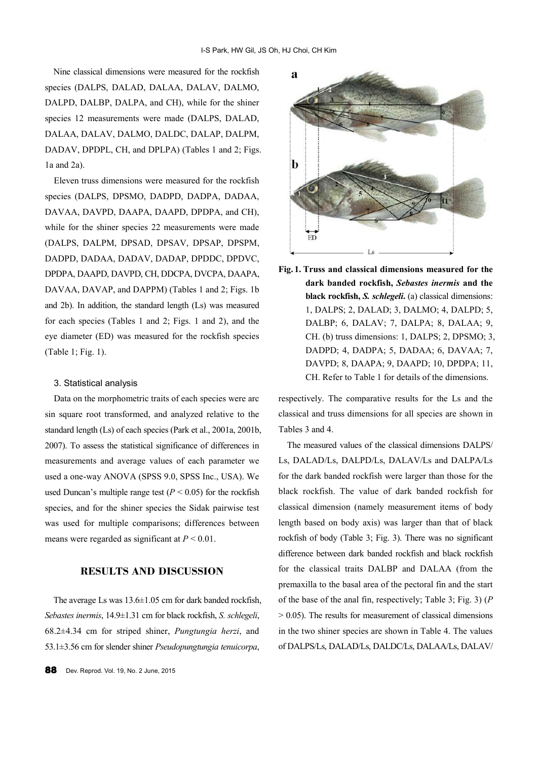Nine classical dimensions were measured for the rockfish species (DALPS, DALAD, DALAA, DALAV, DALMO, DALPD, DALBP, DALPA, and CH), while for the shiner species 12 measurements were made (DALPS, DALAD, DALAA, DALAV, DALMO, DALDC, DALAP, DALPM, DADAV, DPDPL, CH, and DPLPA) (Tables 1 and 2; Figs. 1a and 2a).

Eleven truss dimensions were measured for the rockfish species (DALPS, DPSMO, DADPD, DADPA, DADAA, DAVAA, DAVPD, DAAPA, DAAPD, DPDPA, and CH), while for the shiner species 22 measurements were made (DALPS, DALPM, DPSAD, DPSAV, DPSAP, DPSPM, DADPD, DADAA, DADAV, DADAP, DPDDC, DPDVC, DPDPA, DAAPD, DAVPD, CH, DDCPA, DVCPA, DAAPA, DAVAA, DAVAP, and DAPPM) (Tables 1 and 2; Figs. 1b and 2b). In addition, the standard length (Ls) was measured for each species (Tables 1 and 2; Figs. 1 and 2), and the eye diameter (ED) was measured for the rockfish species (Table 1; Fig. 1).

#### 3. Statistical analysis

Data on the morphometric traits of each species were arc sin square root transformed, and analyzed relative to the standard length (Ls) of each species (Park et al., 2001a, 2001b, 2007). To assess the statistical significance of differences in measurements and average values of each parameter we used a one-way ANOVA (SPSS 9.0, SPSS Inc., USA). We used Duncan's multiple range test  $(P < 0.05)$  for the rockfish species, and for the shiner species the Sidak pairwise test was used for multiple comparisons; differences between means were regarded as significant at *P* < 0.01.

### RESULTS AND DISCUSSION

The average Ls was 13.6±1.05 cm for dark banded rockfish, *Sebastes inermis*, 14.9±1.31 cm for black rockfish, *S. schlegeli*, 68.2±4.34 cm for striped shiner, *Pungtungia herzi*, and 53.1±3.56 cm for slender shiner *Pseudopungtungia tenuicorpa*,



**Fig. 1. Truss and classical dimensions measured for the dark banded rockfish,** *Sebastes inermis* **and the black rockfish,** *S. schlegeli***.** (a) classical dimensions: 1, DALPS; 2, DALAD; 3, DALMO; 4, DALPD; 5, DALBP; 6, DALAV; 7, DALPA; 8, DALAA; 9, CH. (b) truss dimensions: 1, DALPS; 2, DPSMO; 3, DADPD; 4, DADPA; 5, DADAA; 6, DAVAA; 7, DAVPD; 8, DAAPA; 9, DAAPD; 10, DPDPA; 11, CH. Refer to Table 1 for details of the dimensions.

respectively. The comparative results for the Ls and the classical and truss dimensions for all species are shown in Tables 3 and 4.

The measured values of the classical dimensions DALPS/ Ls, DALAD/Ls, DALPD/Ls, DALAV/Ls and DALPA/Ls for the dark banded rockfish were larger than those for the black rockfish. The value of dark banded rockfish for classical dimension (namely measurement items of body length based on body axis) was larger than that of black rockfish of body (Table 3; Fig. 3). There was no significant difference between dark banded rockfish and black rockfish for the classical traits DALBP and DALAA (from the premaxilla to the basal area of the pectoral fin and the start of the base of the anal fin, respectively; Table 3; Fig. 3) (*P* > 0.05). The results for measurement of classical dimensions in the two shiner species are shown in Table 4. The values of DALPS/Ls, DALAD/Ls, DALDC/Ls, DALAA/Ls, DALAV/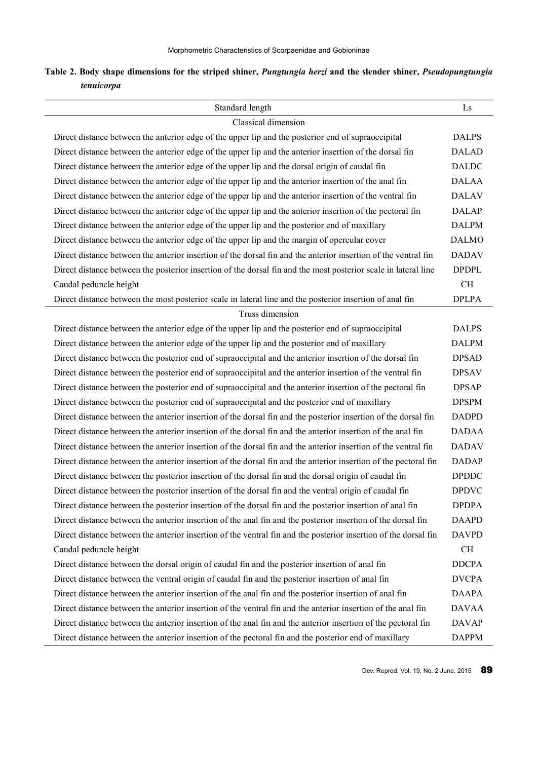## **Table 2. Body shape dimensions for the striped shiner,** *Pungtungia herzi* **and the slender shiner,** *Pseudopungtungia tenuicorpa*

| Standard length                                                                                                 | Ls           |
|-----------------------------------------------------------------------------------------------------------------|--------------|
| Classical dimension                                                                                             |              |
| Direct distance between the anterior edge of the upper lip and the posterior end of supraoccipital              | <b>DALPS</b> |
| Direct distance between the anterior edge of the upper lip and the anterior insertion of the dorsal fin         | <b>DALAD</b> |
| Direct distance between the anterior edge of the upper lip and the dorsal origin of caudal fin                  | <b>DALDC</b> |
| Direct distance between the anterior edge of the upper lip and the anterior insertion of the anal fin           | <b>DALAA</b> |
| Direct distance between the anterior edge of the upper lip and the anterior insertion of the ventral fin        | <b>DALAV</b> |
| Direct distance between the anterior edge of the upper lip and the anterior insertion of the pectoral fin       | <b>DALAP</b> |
| Direct distance between the anterior edge of the upper lip and the posterior end of maxillary                   | <b>DALPM</b> |
| Direct distance between the anterior edge of the upper lip and the margin of opercular cover                    | <b>DALMO</b> |
| Direct distance between the anterior insertion of the dorsal fin and the anterior insertion of the ventral fin  | <b>DADAV</b> |
| Direct distance between the posterior insertion of the dorsal fin and the most posterior scale in lateral line  | <b>DPDPL</b> |
| Caudal peduncle height                                                                                          | <b>CH</b>    |
| Direct distance between the most posterior scale in lateral line and the posterior insertion of anal fin        | <b>DPLPA</b> |
| Truss dimension                                                                                                 |              |
| Direct distance between the anterior edge of the upper lip and the posterior end of supraoccipital              | <b>DALPS</b> |
| Direct distance between the anterior edge of the upper lip and the posterior end of maxillary                   | <b>DALPM</b> |
| Direct distance between the posterior end of supraoccipital and the anterior insertion of the dorsal fin        | <b>DPSAD</b> |
| Direct distance between the posterior end of supraoccipital and the anterior insertion of the ventral fin       | <b>DPSAV</b> |
| Direct distance between the posterior end of supraoccipital and the anterior insertion of the pectoral fin      | <b>DPSAP</b> |
| Direct distance between the posterior end of supraoccipital and the posterior end of maxillary                  | <b>DPSPM</b> |
| Direct distance between the anterior insertion of the dorsal fin and the posterior insertion of the dorsal fin  | <b>DADPD</b> |
| Direct distance between the anterior insertion of the dorsal fin and the anterior insertion of the anal fin     | <b>DADAA</b> |
| Direct distance between the anterior insertion of the dorsal fin and the anterior insertion of the ventral fin  | <b>DADAV</b> |
| Direct distance between the anterior insertion of the dorsal fin and the anterior insertion of the pectoral fin | <b>DADAP</b> |
| Direct distance between the posterior insertion of the dorsal fin and the dorsal origin of caudal fin           | <b>DPDDC</b> |
| Direct distance between the posterior insertion of the dorsal fin and the ventral origin of caudal fin          | <b>DPDVC</b> |
| Direct distance between the posterior insertion of the dorsal fin and the posterior insertion of anal fin       | <b>DPDPA</b> |
| Direct distance between the anterior insertion of the anal fin and the posterior insertion of the dorsal fin    | <b>DAAPD</b> |
| Direct distance between the anterior insertion of the ventral fin and the posterior insertion of the dorsal fin | <b>DAVPD</b> |
| Caudal peduncle height                                                                                          | <b>CH</b>    |
| Direct distance between the dorsal origin of caudal fin and the posterior insertion of anal fin                 | <b>DDCPA</b> |
| Direct distance between the ventral origin of caudal fin and the posterior insertion of anal fin                | <b>DVCPA</b> |
| Direct distance between the anterior insertion of the anal fin and the posterior insertion of anal fin          | <b>DAAPA</b> |
| Direct distance between the anterior insertion of the ventral fin and the anterior insertion of the anal fin    | <b>DAVAA</b> |
| Direct distance between the anterior insertion of the anal fin and the anterior insertion of the pectoral fin   | <b>DAVAP</b> |
| Direct distance between the anterior insertion of the pectoral fin and the posterior end of maxillary           | <b>DAPPM</b> |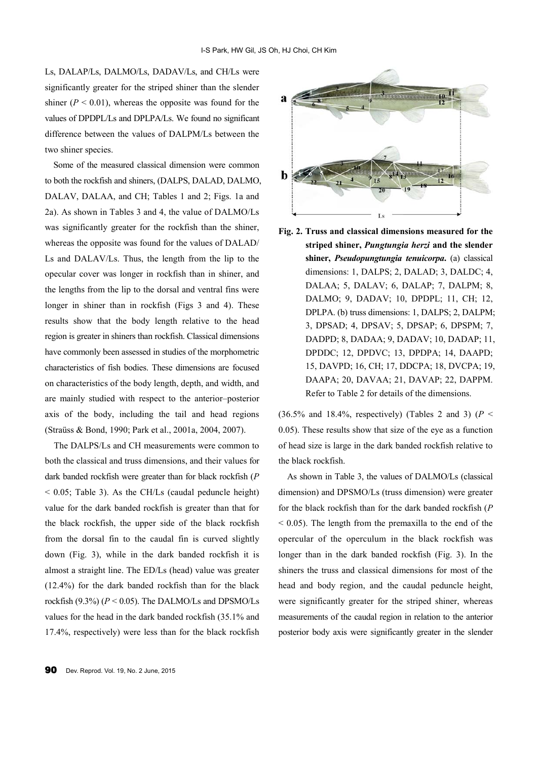Ls, DALAP/Ls, DALMO/Ls, DADAV/Ls, and CH/Ls were significantly greater for the striped shiner than the slender shiner  $(P < 0.01)$ , whereas the opposite was found for the values of DPDPL/Ls and DPLPA/Ls. We found no significant difference between the values of DALPM/Ls between the two shiner species.

Some of the measured classical dimension were common to both the rockfish and shiners, (DALPS, DALAD, DALMO, DALAV, DALAA, and CH; Tables 1 and 2; Figs. 1a and 2a). As shown in Tables 3 and 4, the value of DALMO/Ls was significantly greater for the rockfish than the shiner, whereas the opposite was found for the values of DALAD/ Ls and DALAV/Ls. Thus, the length from the lip to the opecular cover was longer in rockfish than in shiner, and the lengths from the lip to the dorsal and ventral fins were longer in shiner than in rockfish (Figs 3 and 4). These results show that the body length relative to the head region is greater in shiners than rockfish. Classical dimensions have commonly been assessed in studies of the morphometric characteristics of fish bodies. These dimensions are focused on characteristics of the body length, depth, and width, and are mainly studied with respect to the anterior–posterior axis of the body, including the tail and head regions (Straüss & Bond, 1990; Park et al., 2001a, 2004, 2007).

The DALPS/Ls and CH measurements were common to both the classical and truss dimensions, and their values for dark banded rockfish were greater than for black rockfish (*P* < 0.05; Table 3). As the CH/Ls (caudal peduncle height) value for the dark banded rockfish is greater than that for the black rockfish, the upper side of the black rockfish from the dorsal fin to the caudal fin is curved slightly down (Fig. 3), while in the dark banded rockfish it is almost a straight line. The ED/Ls (head) value was greater (12.4%) for the dark banded rockfish than for the black rockfish  $(9.3\%) (P < 0.05)$ . The DALMO/Ls and DPSMO/Ls values for the head in the dark banded rockfish (35.1% and 17.4%, respectively) were less than for the black rockfish



**Fig. 2. Truss and classical dimensions measured for the striped shiner,** *Pungtungia herzi* **and the slender shiner,** *Pseudopungtungia tenuicorpa***.** (a) classical dimensions: 1, DALPS; 2, DALAD; 3, DALDC; 4, DALAA; 5, DALAV; 6, DALAP; 7, DALPM; 8, DALMO; 9, DADAV; 10, DPDPL; 11, CH; 12, DPLPA. (b) truss dimensions: 1, DALPS; 2, DALPM; 3, DPSAD; 4, DPSAV; 5, DPSAP; 6, DPSPM; 7, DADPD; 8, DADAA; 9, DADAV; 10, DADAP; 11, DPDDC; 12, DPDVC; 13, DPDPA; 14, DAAPD; 15, DAVPD; 16, CH; 17, DDCPA; 18, DVCPA; 19, DAAPA; 20, DAVAA; 21, DAVAP; 22, DAPPM. Refer to Table 2 for details of the dimensions.

 $(36.5\%$  and 18.4%, respectively) (Tables 2 and 3) ( $P <$ 0.05). These results show that size of the eye as a function of head size is large in the dark banded rockfish relative to the black rockfish.

As shown in Table 3, the values of DALMO/Ls (classical dimension) and DPSMO/Ls (truss dimension) were greater for the black rockfish than for the dark banded rockfish (*P*  $\leq$  0.05). The length from the premaxilla to the end of the opercular of the operculum in the black rockfish was longer than in the dark banded rockfish (Fig. 3). In the shiners the truss and classical dimensions for most of the head and body region, and the caudal peduncle height, were significantly greater for the striped shiner, whereas measurements of the caudal region in relation to the anterior posterior body axis were significantly greater in the slender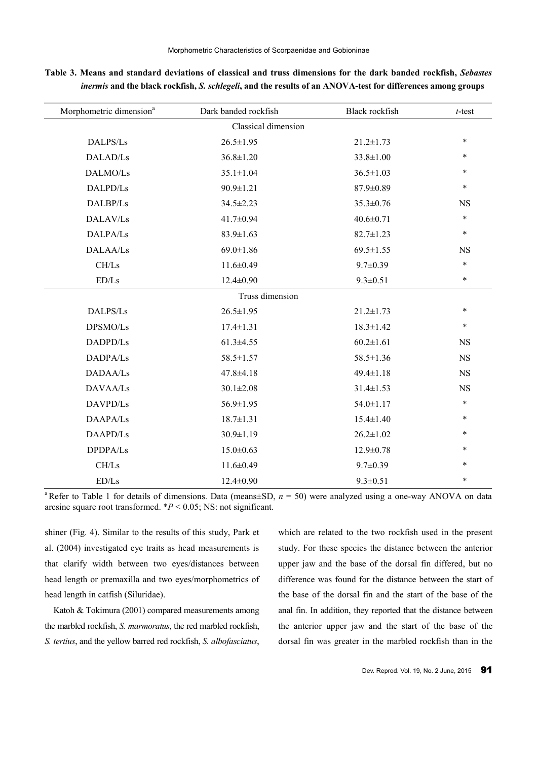| Morphometric dimension <sup>a</sup> | Dark banded rockfish | <b>Black rockfish</b> | $t$ -test   |  |  |  |
|-------------------------------------|----------------------|-----------------------|-------------|--|--|--|
| Classical dimension                 |                      |                       |             |  |  |  |
| DALPS/Ls                            | $26.5 \pm 1.95$      | $21.2 \pm 1.73$       | $\ast$      |  |  |  |
| DALAD/Ls                            | $36.8 \pm 1.20$      | $33.8 \pm 1.00$       | $\ast$      |  |  |  |
| DALMO/Ls                            | $35.1 \pm 1.04$      | $36.5 \pm 1.03$       | $\ast$      |  |  |  |
| DALPD/Ls                            | $90.9 \pm 1.21$      | $87.9 \pm 0.89$       | $\ast$      |  |  |  |
| DALBP/Ls                            | $34.5 \pm 2.23$      | $35.3 \pm 0.76$       | <b>NS</b>   |  |  |  |
| DALAV/Ls                            | 41.7±0.94            | $40.6 \pm 0.71$       | $\ast$      |  |  |  |
| DALPA/Ls                            | $83.9 \pm 1.63$      | $82.7 \pm 1.23$       | $\ast$      |  |  |  |
| DALAA/Ls                            | $69.0 \pm 1.86$      | $69.5 \pm 1.55$       | <b>NS</b>   |  |  |  |
| CH/Ls                               | $11.6 \pm 0.49$      | $9.7 \pm 0.39$        | $\ast$      |  |  |  |
| ED/Ls                               | $12.4 \pm 0.90$      | $9.3 \pm 0.51$        | $\ast$      |  |  |  |
| Truss dimension                     |                      |                       |             |  |  |  |
| DALPS/Ls                            | $26.5 \pm 1.95$      | $21.2 \pm 1.73$       | $\ast$      |  |  |  |
| DPSMO/Ls                            | $17.4 \pm 1.31$      | $18.3 \pm 1.42$       | $\ast$      |  |  |  |
| DADPD/Ls                            | $61.3 \pm 4.55$      | $60.2 \pm 1.61$       | <b>NS</b>   |  |  |  |
| DADPA/Ls                            | $58.5 \pm 1.57$      | $58.5 \pm 1.36$       | $_{\rm NS}$ |  |  |  |
| DADAA/Ls                            | $47.8 \pm 4.18$      | $49.4 \pm 1.18$       | <b>NS</b>   |  |  |  |
| DAVAA/Ls                            | $30.1 \pm 2.08$      | $31.4 \pm 1.53$       | <b>NS</b>   |  |  |  |
| DAVPD/Ls                            | $56.9 \pm 1.95$      | $54.0 \pm 1.17$       | $\ast$      |  |  |  |
| DAAPA/Ls                            | $18.7 \pm 1.31$      | $15.4 \pm 1.40$       | $\ast$      |  |  |  |
| DAAPD/Ls                            | $30.9 \pm 1.19$      | $26.2 \pm 1.02$       | $\ast$      |  |  |  |
| DPDPA/Ls                            | $15.0 \pm 0.63$      | $12.9 \pm 0.78$       | $\ast$      |  |  |  |
| CH/Ls                               | $11.6 \pm 0.49$      | $9.7 \pm 0.39$        | $\star$     |  |  |  |
| ED/Ls                               | $12.4 \pm 0.90$      | $9.3 \pm 0.51$        | *           |  |  |  |

**Table 3. Means and standard deviations of classical and truss dimensions for the dark banded rockfish,** *Sebastes inermis* **and the black rockfish,** *S. schlegeli***, and the results of an ANOVA-test for differences among groups**

<sup>a</sup>Refer to Table 1 for details of dimensions. Data (means±SD,  $n = 50$ ) were analyzed using a one-way ANOVA on data arcsine square root transformed. \**P* < 0.05; NS: not significant.

shiner (Fig. 4). Similar to the results of this study, Park et al. (2004) investigated eye traits as head measurements is that clarify width between two eyes/distances between head length or premaxilla and two eyes/morphometrics of head length in catfish (Siluridae).

Katoh & Tokimura (2001) compared measurements among the marbled rockfish, *S. marmoratus*, the red marbled rockfish, *S. tertius*, and the yellow barred red rockfish, *S. albofasciatus*,

which are related to the two rockfish used in the present study. For these species the distance between the anterior upper jaw and the base of the dorsal fin differed, but no difference was found for the distance between the start of the base of the dorsal fin and the start of the base of the anal fin. In addition, they reported that the distance between the anterior upper jaw and the start of the base of the dorsal fin was greater in the marbled rockfish than in the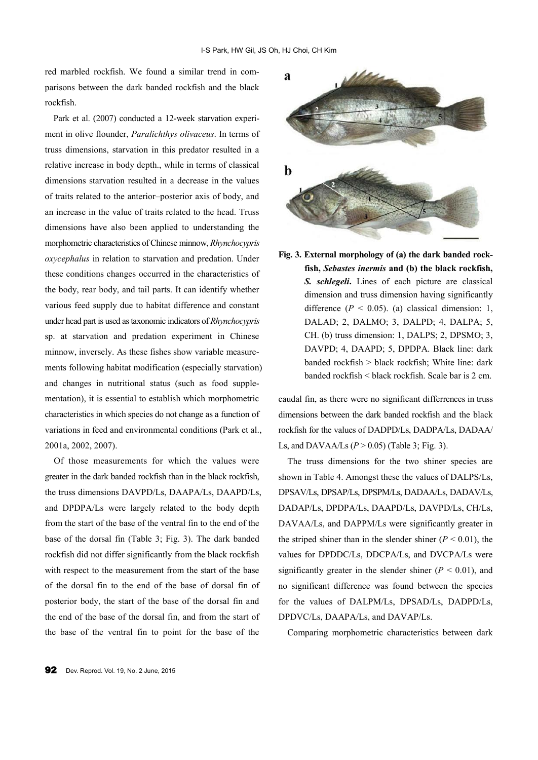red marbled rockfish. We found a similar trend in comparisons between the dark banded rockfish and the black rockfish.

Park et al. (2007) conducted a 12-week starvation experiment in olive flounder, *Paralichthys olivaceus*. In terms of truss dimensions, starvation in this predator resulted in a relative increase in body depth., while in terms of classical dimensions starvation resulted in a decrease in the values of traits related to the anterior–posterior axis of body, and an increase in the value of traits related to the head. Truss dimensions have also been applied to understanding the morphometric characteristics of Chinese minnow, *Rhynchocypris oxycephalus* in relation to starvation and predation. Under these conditions changes occurred in the characteristics of the body, rear body, and tail parts. It can identify whether various feed supply due to habitat difference and constant under head part is used as taxonomic indicators of *Rhynchocypris* sp. at starvation and predation experiment in Chinese minnow, inversely. As these fishes show variable measurements following habitat modification (especially starvation) and changes in nutritional status (such as food supplementation), it is essential to establish which morphometric characteristics in which species do not change as a function of variations in feed and environmental conditions (Park et al., 2001a, 2002, 2007).

Of those measurements for which the values were greater in the dark banded rockfish than in the black rockfish, the truss dimensions DAVPD/Ls, DAAPA/Ls, DAAPD/Ls, and DPDPA/Ls were largely related to the body depth from the start of the base of the ventral fin to the end of the base of the dorsal fin (Table 3; Fig. 3). The dark banded rockfish did not differ significantly from the black rockfish with respect to the measurement from the start of the base of the dorsal fin to the end of the base of dorsal fin of posterior body, the start of the base of the dorsal fin and the end of the base of the dorsal fin, and from the start of the base of the ventral fin to point for the base of the



**Fig. 3. External morphology of (a) the dark banded rockfish,** *Sebastes inermis* **and (b) the black rockfish,**  *S. schlegeli***.** Lines of each picture are classical dimension and truss dimension having significantly difference  $(P < 0.05)$ . (a) classical dimension: 1, DALAD; 2, DALMO; 3, DALPD; 4, DALPA; 5, CH. (b) truss dimension: 1, DALPS; 2, DPSMO; 3, DAVPD; 4, DAAPD; 5, DPDPA. Black line: dark banded rockfish > black rockfish; White line: dark banded rockfish < black rockfish. Scale bar is 2 cm.

caudal fin, as there were no significant differrences in truss dimensions between the dark banded rockfish and the black rockfish for the values of DADPD/Ls, DADPA/Ls, DADAA/ Ls, and DAVAA/Ls (*P* > 0.05) (Table 3; Fig. 3).

The truss dimensions for the two shiner species are shown in Table 4. Amongst these the values of DALPS/Ls, DPSAV/Ls, DPSAP/Ls, DPSPM/Ls, DADAA/Ls, DADAV/Ls, DADAP/Ls, DPDPA/Ls, DAAPD/Ls, DAVPD/Ls, CH/Ls, DAVAA/Ls, and DAPPM/Ls were significantly greater in the striped shiner than in the slender shiner  $(P < 0.01)$ , the values for DPDDC/Ls, DDCPA/Ls, and DVCPA/Ls were significantly greater in the slender shiner  $(P < 0.01)$ , and no significant difference was found between the species for the values of DALPM/Ls, DPSAD/Ls, DADPD/Ls, DPDVC/Ls, DAAPA/Ls, and DAVAP/Ls.

Comparing morphometric characteristics between dark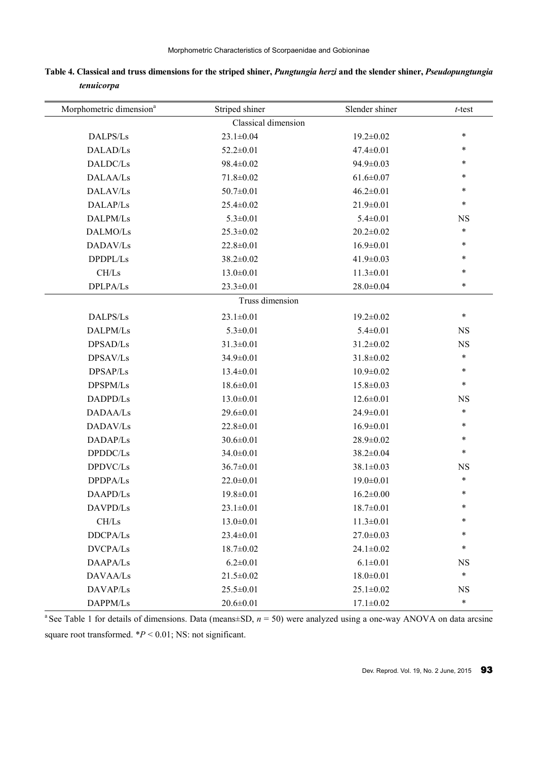| Morphometric dimension <sup>a</sup> | Striped shiner      | Slender shiner  | $t$ -test |
|-------------------------------------|---------------------|-----------------|-----------|
|                                     | Classical dimension |                 |           |
| DALPS/Ls                            | $23.1 \pm 0.04$     | $19.2 \pm 0.02$ | $\ast$    |
| DALAD/Ls                            | $52.2 \pm 0.01$     | $47.4 \pm 0.01$ | $\ast$    |
| DALDC/Ls                            | 98.4±0.02           | 94.9±0.03       | $\ast$    |
| DALAA/Ls                            | $71.8 \pm 0.02$     | $61.6 \pm 0.07$ | $\ast$    |
| DALAV/Ls                            | $50.7 \pm 0.01$     | $46.2 \pm 0.01$ | $\ast$    |
| DALAP/Ls                            | $25.4 \pm 0.02$     | $21.9 \pm 0.01$ | $\ast$    |
| DALPM/Ls                            | $5.3 \pm 0.01$      | $5.4 \pm 0.01$  | <b>NS</b> |
| DALMO/Ls                            | $25.3 \pm 0.02$     | $20.2 \pm 0.02$ | $\ast$    |
| DADAV/Ls                            | $22.8 \pm 0.01$     | $16.9 \pm 0.01$ | $\ast$    |
| DPDPL/Ls                            | $38.2 \pm 0.02$     | 41.9±0.03       | $\ast$    |
| CH/Ls                               | $13.0 \pm 0.01$     | $11.3 \pm 0.01$ | $\ast$    |
| DPLPA/Ls                            | $23.3 \pm 0.01$     | $28.0 \pm 0.04$ | $\ast$    |
|                                     | Truss dimension     |                 |           |
| DALPS/Ls                            | $23.1 \pm 0.01$     | $19.2 \pm 0.02$ | $\ast$    |
| DALPM/Ls                            | $5.3 \pm 0.01$      | $5.4 \pm 0.01$  | <b>NS</b> |
| DPSAD/Ls                            | $31.3 \pm 0.01$     | $31.2 \pm 0.02$ | NS        |
| DPSAV/Ls                            | 34.9±0.01           | $31.8 \pm 0.02$ | $\ast$    |
| DPSAP/Ls                            | $13.4 \pm 0.01$     | $10.9 \pm 0.02$ | $\ast$    |
| DPSPM/Ls                            | $18.6 \pm 0.01$     | $15.8 \pm 0.03$ | $\ast$    |
| DADPD/Ls                            | $13.0 \pm 0.01$     | $12.6 \pm 0.01$ | <b>NS</b> |
| DADAA/Ls                            | $29.6 \pm 0.01$     | 24.9±0.01       | $\ast$    |
| DADAV/Ls                            | $22.8 \pm 0.01$     | $16.9 \pm 0.01$ | $\ast$    |
| DADAP/Ls                            | $30.6 \pm 0.01$     | 28.9±0.02       | $\ast$    |
| DPDDC/Ls                            | $34.0 \pm 0.01$     | 38.2±0.04       | $\ast$    |
| DPDVC/Ls                            | $36.7 \pm 0.01$     | $38.1 \pm 0.03$ | NS        |
| DPDPA/Ls                            | $22.0 \pm 0.01$     | $19.0 \pm 0.01$ | $\ast$    |
| DAAPD/Ls                            | $19.8 \pm 0.01$     | $16.2 \pm 0.00$ | $\ast$    |
| DAVPD/Ls                            | $23.1 \pm 0.01$     | $18.7 \pm 0.01$ |           |
| CH/Ls                               | $13.0 \pm 0.01$     | $11.3 \pm 0.01$ | $\ast$    |
| DDCPA/Ls                            | $23.4 \pm 0.01$     | $27.0 \pm 0.03$ | $\ast$    |
| <b>DVCPA/Ls</b>                     | $18.7 \pm 0.02$     | $24.1 \pm 0.02$ | $\ast$    |
| DAAPA/Ls                            | $6.2 \pm 0.01$      | $6.1 \pm 0.01$  | <b>NS</b> |
| DAVAA/Ls                            | $21.5 \pm 0.02$     | $18.0 \pm 0.01$ | $\ast$    |
| DAVAP/Ls                            | $25.5 \pm 0.01$     | $25.1 \pm 0.02$ | <b>NS</b> |
| DAPPM/Ls                            | $20.6 \pm 0.01$     | $17.1 \pm 0.02$ | $\ast$    |

### **Table 4. Classical and truss dimensions for the striped shiner,** *Pungtungia herzi* **and the slender shiner,** *Pseudopungtungia tenuicorpa*

<sup>a</sup> See Table 1 for details of dimensions. Data (means $\pm$ SD,  $n = 50$ ) were analyzed using a one-way ANOVA on data arcsine square root transformed. \**P* < 0.01; NS: not significant.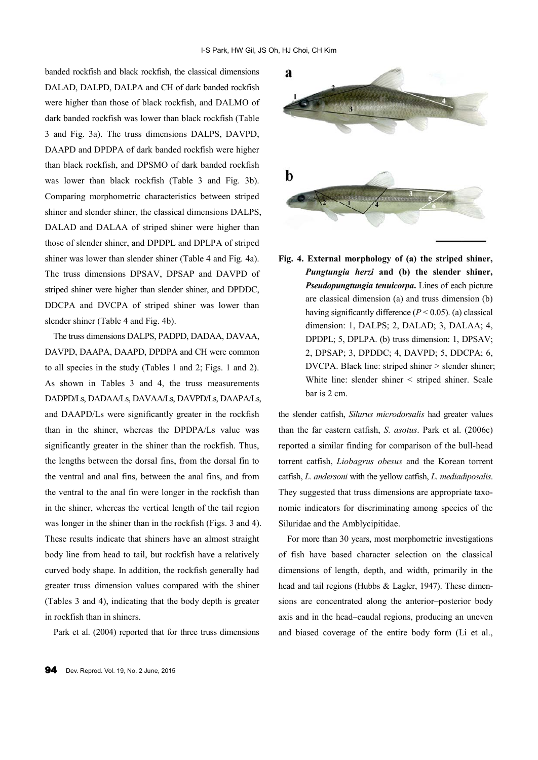banded rockfish and black rockfish, the classical dimensions DALAD, DALPD, DALPA and CH of dark banded rockfish were higher than those of black rockfish, and DALMO of dark banded rockfish was lower than black rockfish (Table 3 and Fig. 3a). The truss dimensions DALPS, DAVPD, DAAPD and DPDPA of dark banded rockfish were higher than black rockfish, and DPSMO of dark banded rockfish was lower than black rockfish (Table 3 and Fig. 3b). Comparing morphometric characteristics between striped shiner and slender shiner, the classical dimensions DALPS, DALAD and DALAA of striped shiner were higher than those of slender shiner, and DPDPL and DPLPA of striped shiner was lower than slender shiner (Table 4 and Fig. 4a). The truss dimensions DPSAV, DPSAP and DAVPD of striped shiner were higher than slender shiner, and DPDDC, DDCPA and DVCPA of striped shiner was lower than slender shiner (Table 4 and Fig. 4b).

The truss dimensions DALPS, PADPD, DADAA, DAVAA, DAVPD, DAAPA, DAAPD, DPDPA and CH were common to all species in the study (Tables 1 and 2; Figs. 1 and 2). As shown in Tables 3 and 4, the truss measurements DADPD/Ls, DADAA/Ls, DAVAA/Ls, DAVPD/Ls, DAAPA/Ls, and DAAPD/Ls were significantly greater in the rockfish than in the shiner, whereas the DPDPA/Ls value was significantly greater in the shiner than the rockfish. Thus, the lengths between the dorsal fins, from the dorsal fin to the ventral and anal fins, between the anal fins, and from catfish, L. andersoni with the yellow catfish, L. mediadiposalis. the ventral to the anal fin were longer in the rockfish than in the shiner, whereas the vertical length of the tail region was longer in the shiner than in the rockfish (Figs. 3 and 4). These results indicate that shiners have an almost straight body line from head to tail, but rockfish have a relatively curved body shape. In addition, the rockfish generally had greater truss dimension values compared with the shiner (Tables 3 and 4), indicating that the body depth is greater in rockfish than in shiners.

Park et al. (2004) reported that for three truss dimensions



**Fig. 4. External morphology of (a) the striped shiner,**  *Pungtungia herzi* **and (b) the slender shiner,**  *Pseudopungtungia tenuicorpa***.** Lines of each picture are classical dimension (a) and truss dimension (b) having significantly difference  $(P < 0.05)$ . (a) classical dimension: 1, DALPS; 2, DALAD; 3, DALAA; 4, DPDPL; 5, DPLPA. (b) truss dimension: 1, DPSAV; 2, DPSAP; 3, DPDDC; 4, DAVPD; 5, DDCPA; 6, DVCPA. Black line: striped shiner > slender shiner; White line: slender shiner < striped shiner. Scale bar is 2 cm.

the slender catfish, *Silurus microdorsalis* had greater values than the far eastern catfish, *S. asotus*. Park et al. (2006c) reported a similar finding for comparison of the bull-head torrent catfish, *Liobagrus obesus* and the Korean torrent They suggested that truss dimensions are appropriate taxonomic indicators for discriminating among species of the Siluridae and the Amblycipitidae.

For more than 30 years, most morphometric investigations of fish have based character selection on the classical dimensions of length, depth, and width, primarily in the head and tail regions (Hubbs & Lagler, 1947). These dimensions are concentrated along the anterior–posterior body axis and in the head–caudal regions, producing an uneven and biased coverage of the entire body form (Li et al.,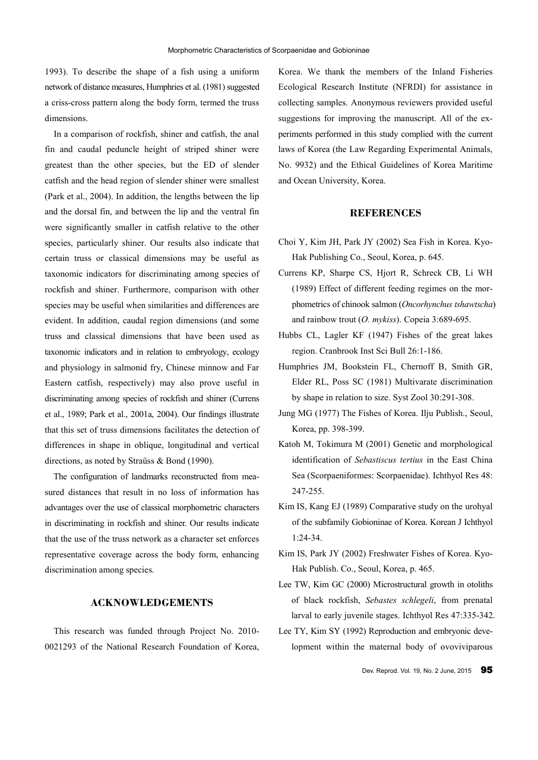1993). To describe the shape of a fish using a uniform network of distance measures, Humphries et al. (1981) suggested a criss-cross pattern along the body form, termed the truss dimensions.

In a comparison of rockfish, shiner and catfish, the anal fin and caudal peduncle height of striped shiner were greatest than the other species, but the ED of slender catfish and the head region of slender shiner were smallest (Park et al., 2004). In addition, the lengths between the lip and the dorsal fin, and between the lip and the ventral fin were significantly smaller in catfish relative to the other species, particularly shiner. Our results also indicate that certain truss or classical dimensions may be useful as taxonomic indicators for discriminating among species of rockfish and shiner. Furthermore, comparison with other species may be useful when similarities and differences are evident. In addition, caudal region dimensions (and some truss and classical dimensions that have been used as taxonomic indicators and in relation to embryology, ecology and physiology in salmonid fry, Chinese minnow and Far Eastern catfish, respectively) may also prove useful in discriminating among species of rockfish and shiner (Currens et al., 1989; Park et al., 2001a, 2004). Our findings illustrate that this set of truss dimensions facilitates the detection of differences in shape in oblique, longitudinal and vertical directions, as noted by Straüss & Bond (1990).

The configuration of landmarks reconstructed from measured distances that result in no loss of information has advantages over the use of classical morphometric characters in discriminating in rockfish and shiner. Our results indicate that the use of the truss network as a character set enforces representative coverage across the body form, enhancing discrimination among species.

#### ACKNOWLEDGEMENTS

This research was funded through Project No. 2010- 0021293 of the National Research Foundation of Korea,

Korea. We thank the members of the Inland Fisheries Ecological Research Institute (NFRDI) for assistance in collecting samples. Anonymous reviewers provided useful suggestions for improving the manuscript. All of the experiments performed in this study complied with the current laws of Korea (the Law Regarding Experimental Animals, No. 9932) and the Ethical Guidelines of Korea Maritime and Ocean University, Korea.

### **REFERENCES**

- Choi Y, Kim JH, Park JY (2002) Sea Fish in Korea. Kyo-Hak Publishing Co., Seoul, Korea, p. 645.
- Currens KP, Sharpe CS, Hjort R, Schreck CB, Li WH (1989) Effect of different feeding regimes on the morphometrics of chinook salmon (*Oncorhynchus tshawtscha*) and rainbow trout (*O. mykiss*). Copeia 3:689-695.
- Hubbs CL, Lagler KF (1947) Fishes of the great lakes region. Cranbrook Inst Sci Bull 26:1-186.
- Humphries JM, Bookstein FL, Chernoff B, Smith GR, Elder RL, Poss SC (1981) Multivarate discrimination by shape in relation to size. Syst Zool 30:291-308.
- Jung MG (1977) The Fishes of Korea. Ilju Publish., Seoul, Korea, pp. 398-399.
- Katoh M, Tokimura M (2001) Genetic and morphological identification of *Sebastiscus tertius* in the East China Sea (Scorpaeniformes: Scorpaenidae). Ichthyol Res 48: 247-255.
- Kim IS, Kang EJ (1989) Comparative study on the urohyal of the subfamily Gobioninae of Korea. Korean J Ichthyol 1:24-34.
- Kim IS, Park JY (2002) Freshwater Fishes of Korea. Kyo-Hak Publish. Co., Seoul, Korea, p. 465.
- Lee TW, Kim GC (2000) Microstructural growth in otoliths of black rockfish, *Sebastes schlegeli*, from prenatal larval to early juvenile stages. Ichthyol Res 47:335-342.
- Lee TY, Kim SY (1992) Reproduction and embryonic development within the maternal body of ovoviviparous